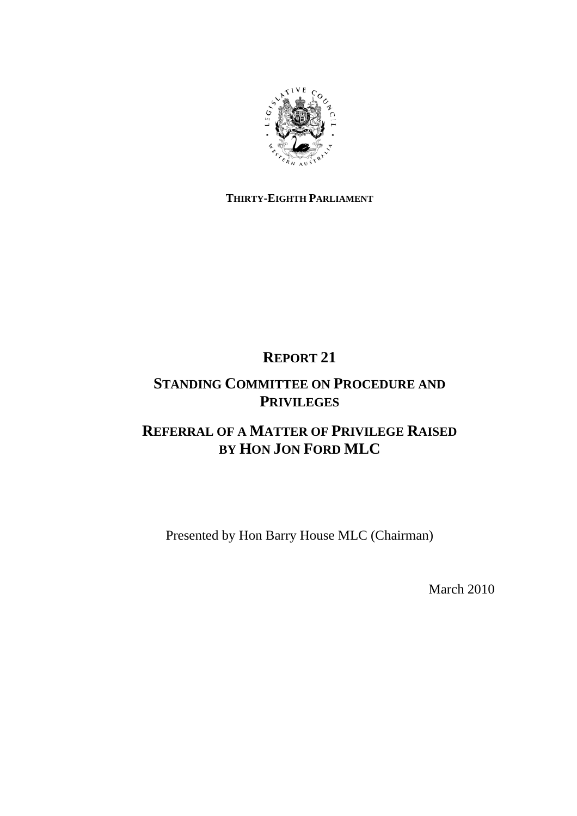

## **THIRTY-EIGHTH PARLIAMENT**

# **REPORT 21**

# **STANDING COMMITTEE ON PROCEDURE AND PRIVILEGES**

# **REFERRAL OF A MATTER OF PRIVILEGE RAISED BY HON JON FORD MLC**

Presented by Hon Barry House MLC (Chairman)

March 2010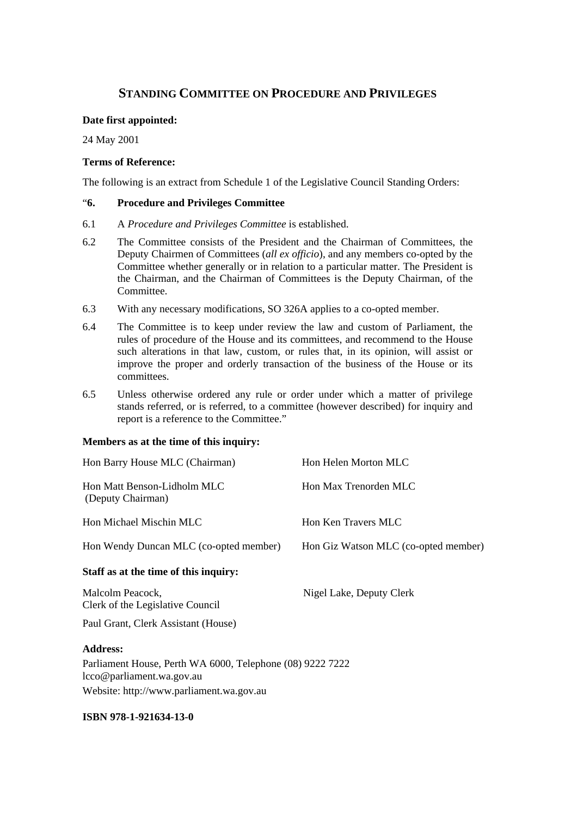## **STANDING COMMITTEE ON PROCEDURE AND PRIVILEGES**

### **Date first appointed:**

24 May 2001

## **Terms of Reference:**

The following is an extract from Schedule 1 of the Legislative Council Standing Orders:

### "**6. Procedure and Privileges Committee**

- 6.1 A *Procedure and Privileges Committee* is established.
- 6.2 The Committee consists of the President and the Chairman of Committees, the Deputy Chairmen of Committees (*all ex officio*), and any members co-opted by the Committee whether generally or in relation to a particular matter. The President is the Chairman, and the Chairman of Committees is the Deputy Chairman, of the Committee.
- 6.3 With any necessary modifications, SO 326A applies to a co-opted member.
- 6.4 The Committee is to keep under review the law and custom of Parliament, the rules of procedure of the House and its committees, and recommend to the House such alterations in that law, custom, or rules that, in its opinion, will assist or improve the proper and orderly transaction of the business of the House or its committees.
- 6.5 Unless otherwise ordered any rule or order under which a matter of privilege stands referred, or is referred, to a committee (however described) for inquiry and report is a reference to the Committee."

### **Members as at the time of this inquiry:**

| Hon Barry House MLC (Chairman)                                                         | Hon Helen Morton MLC                 |
|----------------------------------------------------------------------------------------|--------------------------------------|
| Hon Matt Benson-Lidholm MLC<br>(Deputy Chairman)                                       | Hon Max Trenorden MLC                |
| Hon Michael Mischin MLC                                                                | Hon Ken Travers MLC                  |
| Hon Wendy Duncan MLC (co-opted member)                                                 | Hon Giz Watson MLC (co-opted member) |
| Staff as at the time of this inquiry:                                                  |                                      |
| Malcolm Peacock,<br>Clerk of the Legislative Council                                   | Nigel Lake, Deputy Clerk             |
| Paul Grant, Clerk Assistant (House)                                                    |                                      |
| <b>Address:</b>                                                                        |                                      |
| Parliament House, Perth WA 6000, Telephone (08) 9222 7222<br>lcco@parliament.wa.gov.au |                                      |

Website: http://www.parliament.wa.gov.au

### **ISBN 978-1-921634-13-0**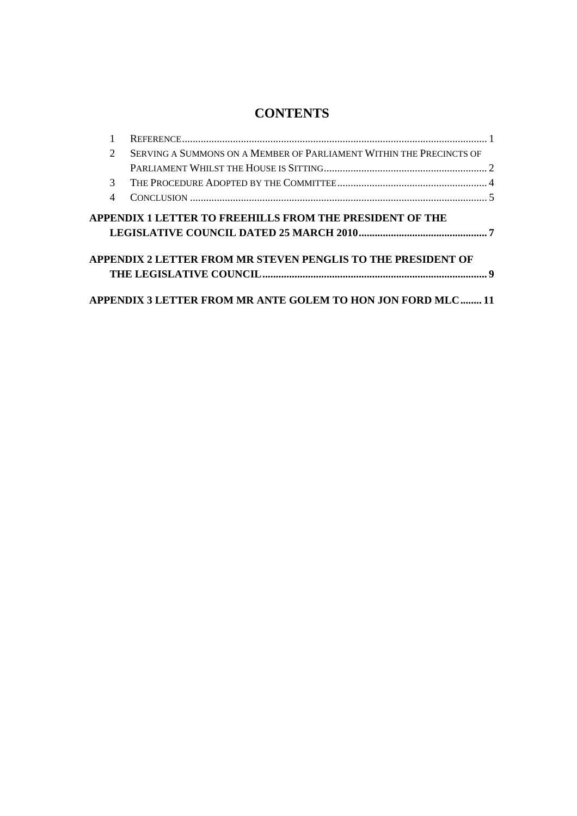# **CONTENTS**

| $\mathcal{D}$                                                   | SERVING A SUMMONS ON A MEMBER OF PARLIAMENT WITHIN THE PRECINCTS OF |  |
|-----------------------------------------------------------------|---------------------------------------------------------------------|--|
|                                                                 |                                                                     |  |
| $\mathcal{R}$                                                   |                                                                     |  |
| 4                                                               |                                                                     |  |
| <b>APPENDIX 1 LETTER TO FREEHILLS FROM THE PRESIDENT OF THE</b> |                                                                     |  |
|                                                                 | APPENDIX 2 LETTER FROM MR STEVEN PENGLIS TO THE PRESIDENT OF        |  |
|                                                                 |                                                                     |  |
|                                                                 | APPENDIX 3 LETTER FROM MR ANTE GOLEM TO HON JON FORD MLC 11         |  |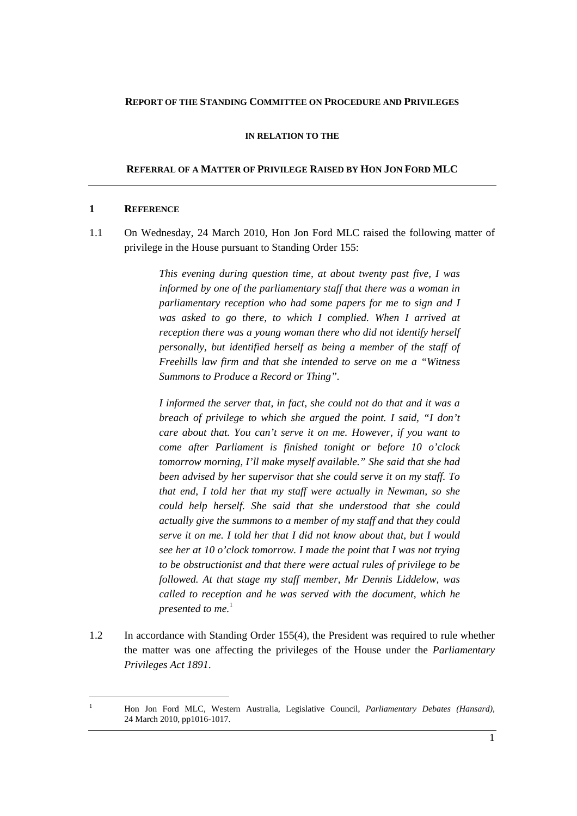#### **REPORT OF THE STANDING COMMITTEE ON PROCEDURE AND PRIVILEGES**

#### **IN RELATION TO THE**

#### **REFERRAL OF A MATTER OF PRIVILEGE RAISED BY HON JON FORD MLC**

#### **1 REFERENCE**

 $\overline{a}$ 

1.1 On Wednesday, 24 March 2010, Hon Jon Ford MLC raised the following matter of privilege in the House pursuant to Standing Order 155:

> *This evening during question time, at about twenty past five, I was informed by one of the parliamentary staff that there was a woman in parliamentary reception who had some papers for me to sign and I*  was asked to go there, to which I complied. When I arrived at *reception there was a young woman there who did not identify herself personally, but identified herself as being a member of the staff of Freehills law firm and that she intended to serve on me a "Witness Summons to Produce a Record or Thing".*

> *I informed the server that, in fact, she could not do that and it was a breach of privilege to which she argued the point. I said, "I don't care about that. You can't serve it on me. However, if you want to come after Parliament is finished tonight or before 10 o'clock tomorrow morning, I'll make myself available." She said that she had been advised by her supervisor that she could serve it on my staff. To that end, I told her that my staff were actually in Newman, so she could help herself. She said that she understood that she could actually give the summons to a member of my staff and that they could serve it on me. I told her that I did not know about that, but I would see her at 10 o'clock tomorrow. I made the point that I was not trying to be obstructionist and that there were actual rules of privilege to be followed. At that stage my staff member, Mr Dennis Liddelow, was called to reception and he was served with the document, which he presented to me.*<sup>1</sup>

1.2 In accordance with Standing Order 155(4), the President was required to rule whether the matter was one affecting the privileges of the House under the *Parliamentary Privileges Act 1891*.

<sup>1</sup> Hon Jon Ford MLC, Western Australia, Legislative Council, *Parliamentary Debates (Hansard),*  24 March 2010, pp1016-1017.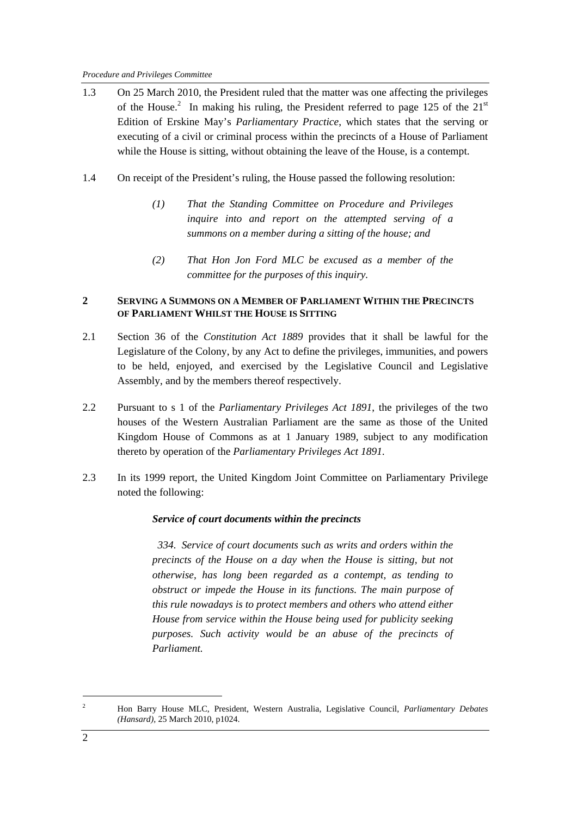- 1.3 On 25 March 2010, the President ruled that the matter was one affecting the privileges of the House.<sup>2</sup> In making his ruling, the President referred to page 125 of the  $21<sup>st</sup>$ Edition of Erskine May's *Parliamentary Practice*, which states that the serving or executing of a civil or criminal process within the precincts of a House of Parliament while the House is sitting, without obtaining the leave of the House, is a contempt.
- 1.4 On receipt of the President's ruling, the House passed the following resolution:
	- *(1) That the Standing Committee on Procedure and Privileges inquire into and report on the attempted serving of a summons on a member during a sitting of the house; and*
	- *(2) That Hon Jon Ford MLC be excused as a member of the committee for the purposes of this inquiry.*

### **2 SERVING A SUMMONS ON A MEMBER OF PARLIAMENT WITHIN THE PRECINCTS OF PARLIAMENT WHILST THE HOUSE IS SITTING**

- 2.1 Section 36 of the *Constitution Act 1889* provides that it shall be lawful for the Legislature of the Colony, by any Act to define the privileges, immunities, and powers to be held, enjoyed, and exercised by the Legislative Council and Legislative Assembly, and by the members thereof respectively.
- 2.2 Pursuant to s 1 of the *Parliamentary Privileges Act 1891*, the privileges of the two houses of the Western Australian Parliament are the same as those of the United Kingdom House of Commons as at 1 January 1989, subject to any modification thereto by operation of the *Parliamentary Privileges Act 1891.*
- 2.3 In its 1999 report, the United Kingdom Joint Committee on Parliamentary Privilege noted the following:

## *Service of court documents within the precincts*

 *334. Service of court documents such as writs and orders within the precincts of the House on a day when the House is sitting, but not otherwise, has long been regarded as a contempt, as tending to obstruct or impede the House in its functions. The main purpose of this rule nowadays is to protect members and others who attend either House from service within the House being used for publicity seeking purposes. Such activity would be an abuse of the precincts of Parliament.* 

 $\overline{a}$ 

<sup>2</sup> Hon Barry House MLC, President, Western Australia, Legislative Council, *Parliamentary Debates (Hansard),* 25 March 2010, p1024.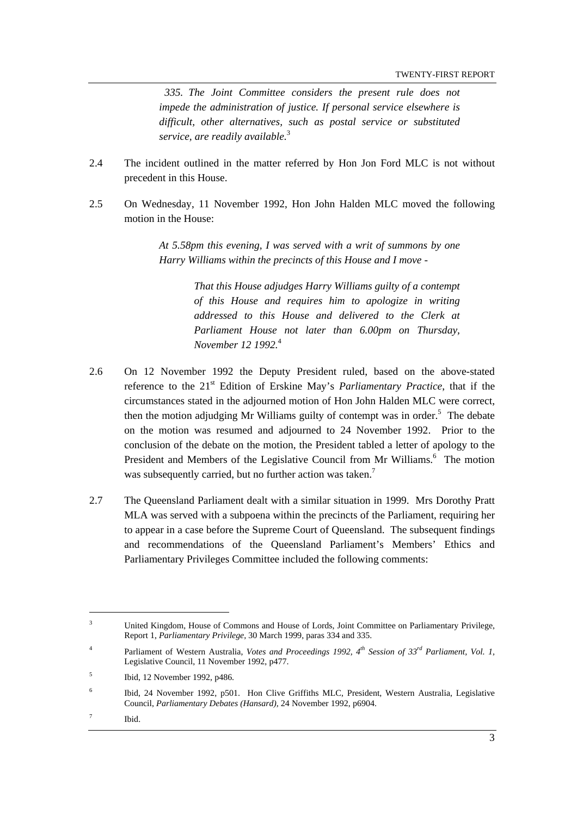*335. The Joint Committee considers the present rule does not impede the administration of justice. If personal service elsewhere is difficult, other alternatives, such as postal service or substituted service, are readily available.*<sup>3</sup> 

- 2.4 The incident outlined in the matter referred by Hon Jon Ford MLC is not without precedent in this House.
- 2.5 On Wednesday, 11 November 1992, Hon John Halden MLC moved the following motion in the House:

*At 5.58pm this evening, I was served with a writ of summons by one Harry Williams within the precincts of this House and I move -* 

> *That this House adjudges Harry Williams guilty of a contempt of this House and requires him to apologize in writing addressed to this House and delivered to the Clerk at Parliament House not later than 6.00pm on Thursday, November 12 1992.*<sup>4</sup>

- 2.6 On 12 November 1992 the Deputy President ruled, based on the above-stated reference to the 21st Edition of Erskine May's *Parliamentary Practice*, that if the circumstances stated in the adjourned motion of Hon John Halden MLC were correct, then the motion adjudging Mr Williams guilty of contempt was in order.<sup>5</sup> The debate on the motion was resumed and adjourned to 24 November 1992. Prior to the conclusion of the debate on the motion, the President tabled a letter of apology to the President and Members of the Legislative Council from Mr Williams.<sup>6</sup> The motion was subsequently carried, but no further action was taken.<sup>7</sup>
- 2.7 The Queensland Parliament dealt with a similar situation in 1999. Mrs Dorothy Pratt MLA was served with a subpoena within the precincts of the Parliament, requiring her to appear in a case before the Supreme Court of Queensland. The subsequent findings and recommendations of the Queensland Parliament's Members' Ethics and Parliamentary Privileges Committee included the following comments:

 $\overline{a}$ 

<sup>3</sup> United Kingdom, House of Commons and House of Lords, Joint Committee on Parliamentary Privilege, Report 1, *Parliamentary Privilege,* 30 March 1999, paras 334 and 335.

<sup>4</sup> Parliament of Western Australia, *Votes and Proceedings 1992, 4th Session of 33rd Parliament, Vol. 1,*  Legislative Council, 11 November 1992, p477.

<sup>5</sup> Ibid, 12 November 1992, p486.

<sup>6</sup> Ibid, 24 November 1992, p501. Hon Clive Griffiths MLC, President, Western Australia, Legislative Council, *Parliamentary Debates (Hansard),* 24 November 1992, p6904.

<sup>7</sup> Ibid.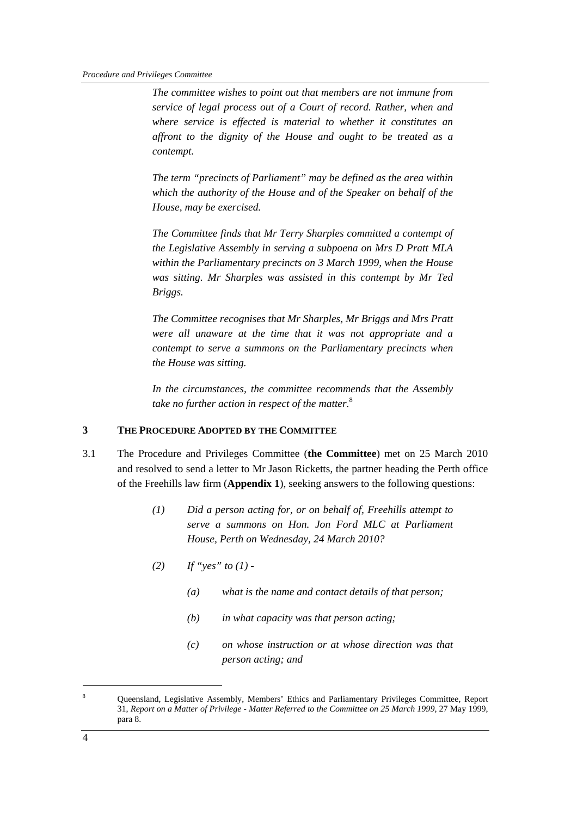*The committee wishes to point out that members are not immune from service of legal process out of a Court of record. Rather, when and where service is effected is material to whether it constitutes an affront to the dignity of the House and ought to be treated as a contempt.* 

*The term "precincts of Parliament" may be defined as the area within which the authority of the House and of the Speaker on behalf of the House, may be exercised.* 

*The Committee finds that Mr Terry Sharples committed a contempt of the Legislative Assembly in serving a subpoena on Mrs D Pratt MLA within the Parliamentary precincts on 3 March 1999, when the House was sitting. Mr Sharples was assisted in this contempt by Mr Ted Briggs.* 

*The Committee recognises that Mr Sharples, Mr Briggs and Mrs Pratt were all unaware at the time that it was not appropriate and a contempt to serve a summons on the Parliamentary precincts when the House was sitting.* 

*In the circumstances, the committee recommends that the Assembly take no further action in respect of the matter.*<sup>8</sup>

### **3 THE PROCEDURE ADOPTED BY THE COMMITTEE**

- 3.1 The Procedure and Privileges Committee (**the Committee**) met on 25 March 2010 and resolved to send a letter to Mr Jason Ricketts, the partner heading the Perth office of the Freehills law firm (**Appendix 1**), seeking answers to the following questions:
	- *(1) Did a person acting for, or on behalf of, Freehills attempt to serve a summons on Hon. Jon Ford MLC at Parliament House, Perth on Wednesday, 24 March 2010?*
	- *(2) If "yes" to (1)* 
		- *(a) what is the name and contact details of that person;*
		- *(b) in what capacity was that person acting;*
		- *(c) on whose instruction or at whose direction was that person acting; and*

 $\overline{a}$ 

<sup>8</sup> Queensland, Legislative Assembly, Members' Ethics and Parliamentary Privileges Committee, Report 31, *Report on a Matter of Privilege - Matter Referred to the Committee on 25 March 1999,* 27 May 1999, para 8.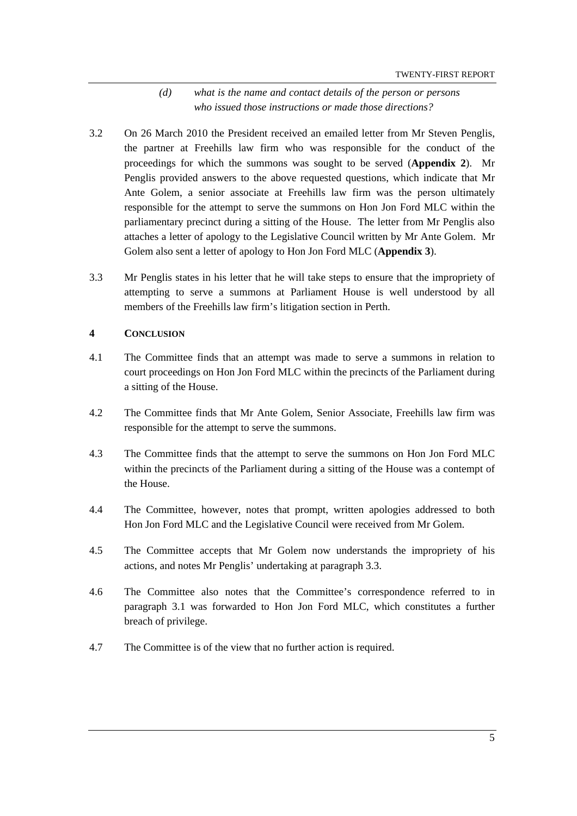## *(d) what is the name and contact details of the person or persons who issued those instructions or made those directions?*

- 3.2 On 26 March 2010 the President received an emailed letter from Mr Steven Penglis, the partner at Freehills law firm who was responsible for the conduct of the proceedings for which the summons was sought to be served (**Appendix 2**). Mr Penglis provided answers to the above requested questions, which indicate that Mr Ante Golem, a senior associate at Freehills law firm was the person ultimately responsible for the attempt to serve the summons on Hon Jon Ford MLC within the parliamentary precinct during a sitting of the House. The letter from Mr Penglis also attaches a letter of apology to the Legislative Council written by Mr Ante Golem. Mr Golem also sent a letter of apology to Hon Jon Ford MLC (**Appendix 3**).
- 3.3 Mr Penglis states in his letter that he will take steps to ensure that the impropriety of attempting to serve a summons at Parliament House is well understood by all members of the Freehills law firm's litigation section in Perth.

### **4 CONCLUSION**

- 4.1 The Committee finds that an attempt was made to serve a summons in relation to court proceedings on Hon Jon Ford MLC within the precincts of the Parliament during a sitting of the House.
- 4.2 The Committee finds that Mr Ante Golem, Senior Associate, Freehills law firm was responsible for the attempt to serve the summons.
- 4.3 The Committee finds that the attempt to serve the summons on Hon Jon Ford MLC within the precincts of the Parliament during a sitting of the House was a contempt of the House.
- 4.4 The Committee, however, notes that prompt, written apologies addressed to both Hon Jon Ford MLC and the Legislative Council were received from Mr Golem.
- 4.5 The Committee accepts that Mr Golem now understands the impropriety of his actions, and notes Mr Penglis' undertaking at paragraph 3.3.
- 4.6 The Committee also notes that the Committee's correspondence referred to in paragraph 3.1 was forwarded to Hon Jon Ford MLC, which constitutes a further breach of privilege.
- 4.7 The Committee is of the view that no further action is required.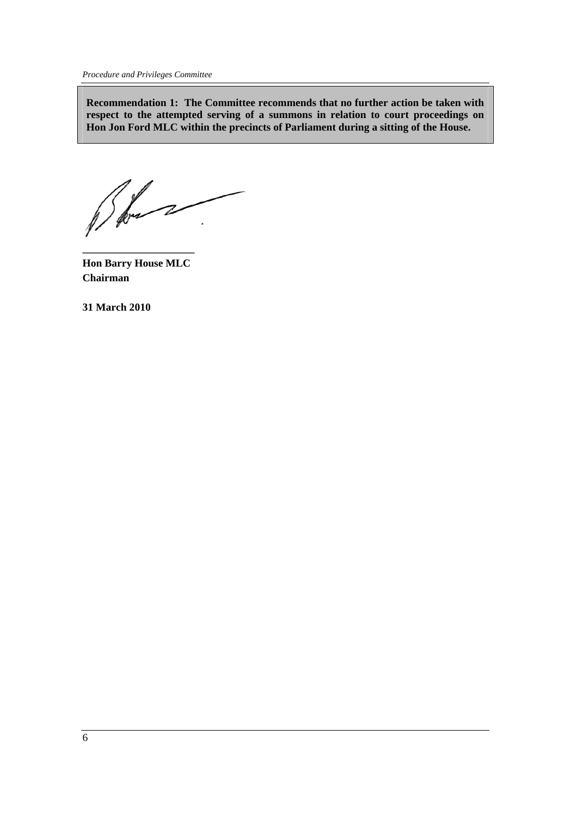*Procedure and Privileges Committee* 

**Recommendation 1: The Committee recommends that no further action be taken with respect to the attempted serving of a summons in relation to court proceedings on Hon Jon Ford MLC within the precincts of Parliament during a sitting of the House.** 

**Hon Barry House MLC Chairman**

**\_\_\_\_\_\_\_\_\_\_\_\_\_\_\_\_\_\_\_\_\_** 

**31 March 2010**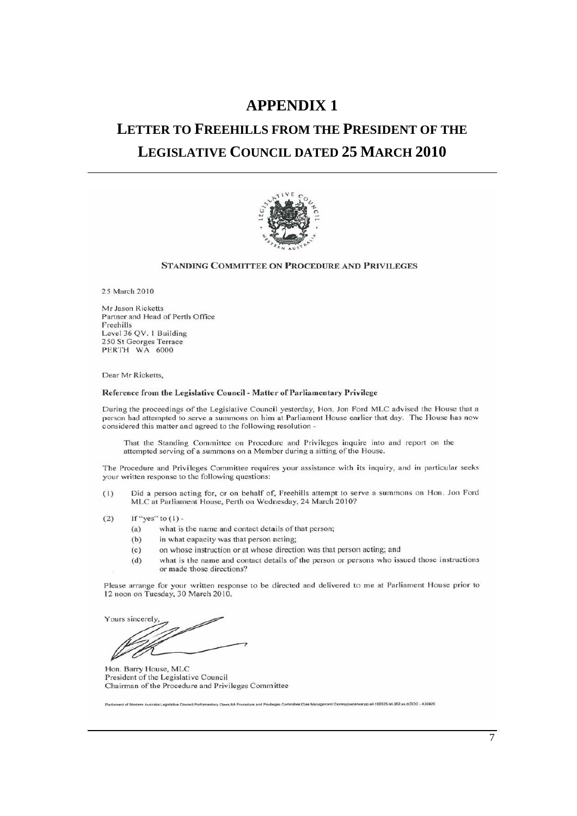## **APPENDIX 1**

# **LETTER TO FREEHILLS FROM THE PRESIDENT OF THE LEGISLATIVE COUNCIL DATED 25 MARCH 2010**



#### STANDING COMMITTEE ON PROCEDURE AND PRIVILEGES

25 March 2010

Mr Jason Ricketts Partner and Head of Perth Office Freehills Level 36 QV. 1 Building 250 St Georges Terrace PERTH WA 6000

Dear Mr Ricketts,

#### Reference from the Legislative Council - Matter of Parliamentary Privilege

During the proceedings of the Legislative Council yesterday, Hon. Jon Ford MLC advised the House that a person had attempted to serve a summons on him at Parliament House earlier that day. The House has now considered this matter and agreed to the following resolution -

That the Standing Committee on Procedure and Privileges inquire into and report on the attempted serving of a summons on a Member during a sitting of the House.

The Procedure and Privileges Committee requires your assistance with its inquiry, and in particular seeks your written response to the following questions:

- Did a person acting for, or on behalf of, Freehills attempt to serve a summons on Hon. Jon Ford  $(1)$ MLC at Parliament House, Perth on Wednesday, 24 March 2010?
- $(2)$ If "yes" to  $(1)$ 
	- what is the name and contact details of that person;  $(a)$
	- $(b)$ in what capacity was that person acting;
	- on whose instruction or at whose direction was that person acting; and  $(c)$
	- what is the name and contact details of the person or persons who issued those instructions  $(d)$ or made those directions?

Please arrange for your written response to be directed and delivered to me at Parliament House prior to 12 noon on Tuesday, 30 March 2010.

Yours sincerely

Hon. Barry House, MLC President of the Legislative Council Chairman of the Procedure and Privileges Committee

erliament of Western Australia:Legislative Council:Parliamentary Ctees:AA Procedure and Privileges Committee:Ctee Management:Corre ondence on all 100325 let 002 xx d DOC - A30920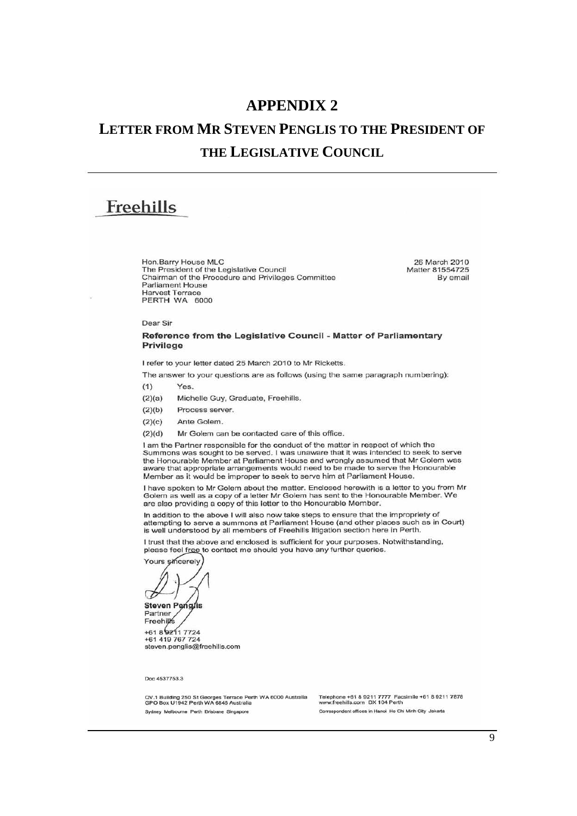## **APPENDIX 2**

# **LETTER FROM MR STEVEN PENGLIS TO THE PRESIDENT OF THE LEGISLATIVE COUNCIL**

# Freehills

Han.Barry House MLC The President of the Legislative Council Chairman of the Procedure and Privileges Committee Parliament House Harvest Terrace PERTH WA 6000

26 March 2010 Matter 81554725 By email

Oear Sir

#### Reference from the Legislative Council - Matter of Parliamentary **Privilege**

I refer to your letter dated 25 March 2010 to Mr Ricketts.

The answer to your questions are as follows (using the same paragraph numbering):

- (1) Yes.
- (2)(a) Michelle Guy, Graduate, Freehills.
- $(2)(b)$ Process server.
- $(2)(c)$ Ante Golem.
- (2)(d) Mr Golem can be contacted care of this office.

I am the Partner responsible for the conduct of the matter in respect of which the Summons was sought to be served. I was unaware that it was intended to seek to serve the Honourable Member at Parliament House and wrongly assumed that Mr Golem was aware that appropriate arrangements would need to be made to serve the Honourable Member as il would be improper to seek to serve him at Parliament House.

I have spoken to Mr Golem about the matter. Endosed herewith is a letter to you from Mr Golem as well as a copy of a letter Mr Golem has sent to the Honourable Member. We are also providing a copy of this letter to the Honourable Member.

In addition to the above I will also now take steps to ensure that the impropriety of attempting to serve a summons at Parliament House (and other places such as in Court) is well understood by all members of Freehills litigation section here in Perth.

I trust that the above and enclosed is sufficient for your purposes. Notwithstanding, please feel free to contact me should you have any further queries.

Yours sincerely

5

**Steven Penglis** Partner **Freehill**s

+61 a 17724 +61419767724 steven.penglis@freehills.com

Doc 4537753.3

(CV.1 Building 250 St Georges Terrace Perth WA 6000 Australia Telephone +61 8 9211 7777 Facsimile +61 8 9211<br>GPO Box U1942 Perth WA 6845 Australia www.freehills.com DX 104 Perth<br>Sydney Melbourne Perth Brisbane Singapore Co

Telephone +61 8 9211 7777 Facsimile +61 8 9211 7878<br>www.freehills.com DX 104 Perth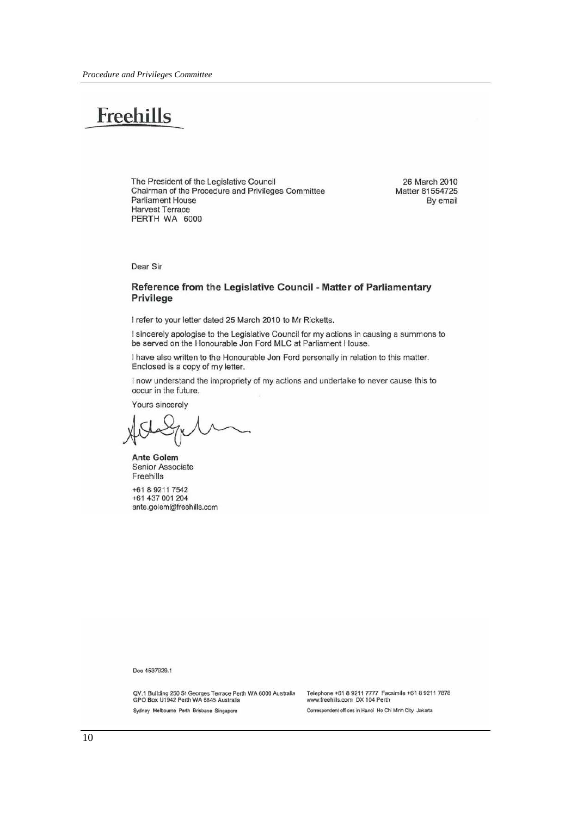# Freehills

The President of the Legislative Council Chairman of the Procedure and Privileges Committee **Parliament House Harvest Terrace** PERTH WA 6000

26 March 2010 Matter 81554725 By email

Dear Sir

#### Reference from the Legislative Council - Matter of Parliamentary Privilege

I refer to your letter dated 25 March 2010 to Mr Ricketts.

I sincerely apologise to the Legislative Council for my actions in causing a summons to be served on the Honourable Jon Ford MLC at Parliament House.

I have also written to the Honourable Jon Ford personally in relation to this matter. Enclosed is a copy of my letter.

I now understand the impropriety of my actions and undertake to never cause this to occur in the future.

Yours sincerely

**Ante Golem** Senior Associate Freehills

+61 8 9211 7542 +61 437 001 204 ante.golem@freehills.com

Doc 4537929.1

QV.1 Building 250 St Georges Terrace Perth WA 6000 Australia<br>GPO Box U1942 Perth WA 6845 Australia Sydney Melbourne Perth Brisbane Singapore

Telephone +61 8 9211 7777 Facsimile +61 8 9211 7878<br>www.freehills.com DX 104 Perth Correspondent offices in Hanoi Ho Chi Minh City Jakarta